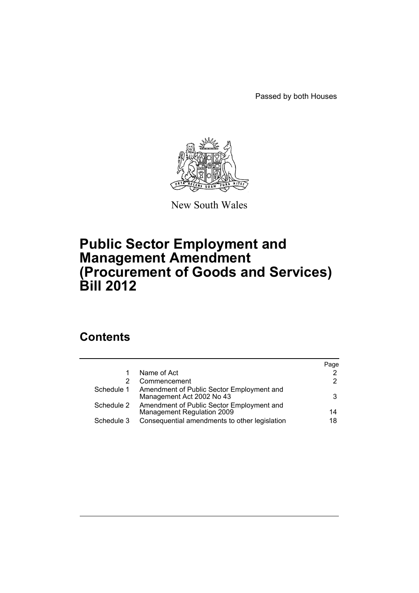Passed by both Houses



New South Wales

# **Public Sector Employment and Management Amendment (Procurement of Goods and Services) Bill 2012**

# **Contents**

|            |                                                                         | Page |
|------------|-------------------------------------------------------------------------|------|
|            | Name of Act                                                             | 2    |
|            | Commencement                                                            | 2    |
| Schedule 1 | Amendment of Public Sector Employment and<br>Management Act 2002 No 43  | 3    |
| Schedule 2 | Amendment of Public Sector Employment and<br>Management Regulation 2009 | 14   |
| Schedule 3 | Consequential amendments to other legislation                           | 18   |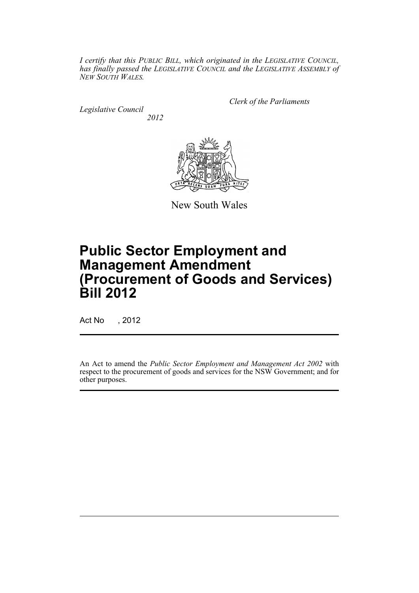*I certify that this PUBLIC BILL, which originated in the LEGISLATIVE COUNCIL, has finally passed the LEGISLATIVE COUNCIL and the LEGISLATIVE ASSEMBLY of NEW SOUTH WALES.*

*Legislative Council 2012* *Clerk of the Parliaments*



New South Wales

# **Public Sector Employment and Management Amendment (Procurement of Goods and Services) Bill 2012**

Act No , 2012

An Act to amend the *Public Sector Employment and Management Act 2002* with respect to the procurement of goods and services for the NSW Government; and for other purposes.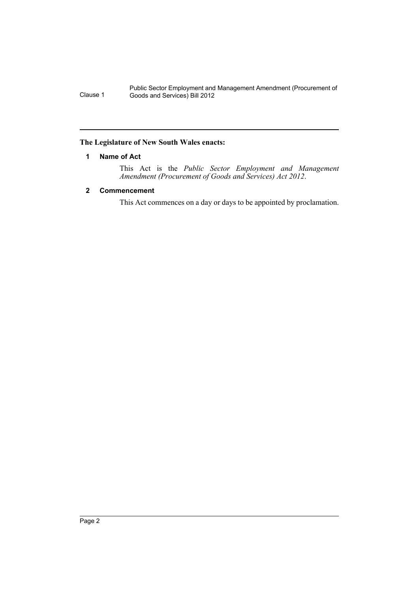## <span id="page-3-0"></span>**The Legislature of New South Wales enacts:**

### **1 Name of Act**

This Act is the *Public Sector Employment and Management Amendment (Procurement of Goods and Services) Act 2012*.

# <span id="page-3-1"></span>**2 Commencement**

This Act commences on a day or days to be appointed by proclamation.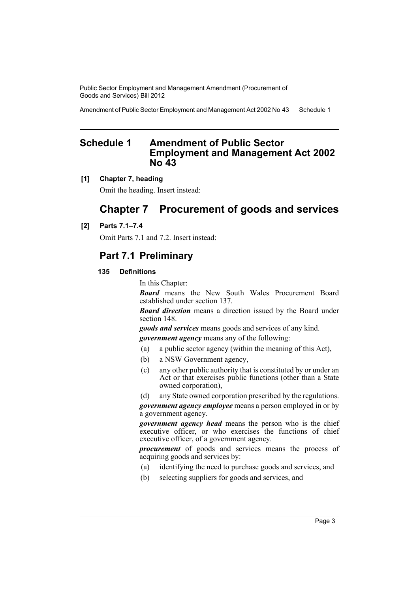Amendment of Public Sector Employment and Management Act 2002 No 43 Schedule 1

# <span id="page-4-0"></span>**Schedule 1 Amendment of Public Sector Employment and Management Act 2002 No 43**

#### **[1] Chapter 7, heading**

Omit the heading. Insert instead:

# **Chapter 7 Procurement of goods and services**

#### **[2] Parts 7.1–7.4**

Omit Parts 7.1 and 7.2. Insert instead:

# **Part 7.1 Preliminary**

#### **135 Definitions**

In this Chapter:

*Board* means the New South Wales Procurement Board established under section 137.

*Board direction* means a direction issued by the Board under section 148.

*goods and services* means goods and services of any kind. *government agency* means any of the following:

- (a) a public sector agency (within the meaning of this Act),
- (b) a NSW Government agency,
- (c) any other public authority that is constituted by or under an Act or that exercises public functions (other than a State owned corporation),
- (d) any State owned corporation prescribed by the regulations.

*government agency employee* means a person employed in or by a government agency.

*government agency head* means the person who is the chief executive officer, or who exercises the functions of chief executive officer, of a government agency.

*procurement* of goods and services means the process of acquiring goods and services by:

- (a) identifying the need to purchase goods and services, and
- (b) selecting suppliers for goods and services, and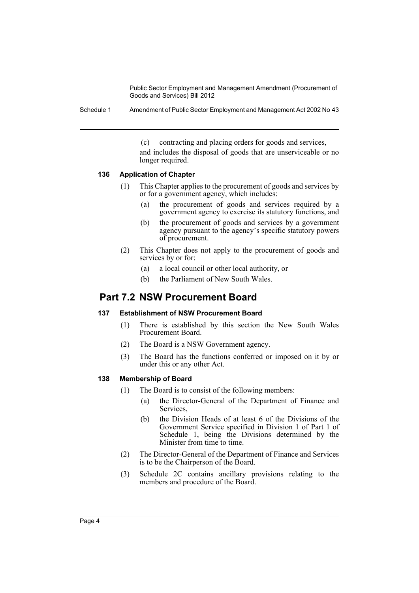Schedule 1 Amendment of Public Sector Employment and Management Act 2002 No 43

(c) contracting and placing orders for goods and services, and includes the disposal of goods that are unserviceable or no longer required.

#### **136 Application of Chapter**

- (1) This Chapter applies to the procurement of goods and services by or for a government agency, which includes:
	- (a) the procurement of goods and services required by a government agency to exercise its statutory functions, and
	- (b) the procurement of goods and services by a government agency pursuant to the agency's specific statutory powers of procurement.
- (2) This Chapter does not apply to the procurement of goods and services by or for:
	- (a) a local council or other local authority, or
	- (b) the Parliament of New South Wales.

# **Part 7.2 NSW Procurement Board**

# **137 Establishment of NSW Procurement Board**

- (1) There is established by this section the New South Wales Procurement Board.
- (2) The Board is a NSW Government agency.
- (3) The Board has the functions conferred or imposed on it by or under this or any other Act.

#### **138 Membership of Board**

- (1) The Board is to consist of the following members:
	- (a) the Director-General of the Department of Finance and Services,
	- (b) the Division Heads of at least 6 of the Divisions of the Government Service specified in Division 1 of Part 1 of Schedule 1, being the Divisions determined by the Minister from time to time.
- (2) The Director-General of the Department of Finance and Services is to be the Chairperson of the Board.
- (3) Schedule 2C contains ancillary provisions relating to the members and procedure of the Board.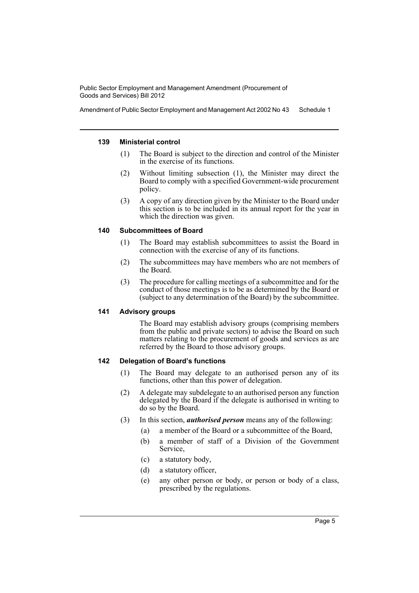Amendment of Public Sector Employment and Management Act 2002 No 43 Schedule 1

#### **139 Ministerial control**

- (1) The Board is subject to the direction and control of the Minister in the exercise of its functions.
- (2) Without limiting subsection (1), the Minister may direct the Board to comply with a specified Government-wide procurement policy.
- (3) A copy of any direction given by the Minister to the Board under this section is to be included in its annual report for the year in which the direction was given.

#### **140 Subcommittees of Board**

- (1) The Board may establish subcommittees to assist the Board in connection with the exercise of any of its functions.
- (2) The subcommittees may have members who are not members of the Board.
- (3) The procedure for calling meetings of a subcommittee and for the conduct of those meetings is to be as determined by the Board or (subject to any determination of the Board) by the subcommittee.

## **141 Advisory groups**

The Board may establish advisory groups (comprising members from the public and private sectors) to advise the Board on such matters relating to the procurement of goods and services as are referred by the Board to those advisory groups.

### **142 Delegation of Board's functions**

- (1) The Board may delegate to an authorised person any of its functions, other than this power of delegation.
- (2) A delegate may subdelegate to an authorised person any function delegated by the Board if the delegate is authorised in writing to do so by the Board.
- (3) In this section, *authorised person* means any of the following:
	- (a) a member of the Board or a subcommittee of the Board,
	- (b) a member of staff of a Division of the Government Service,
	- (c) a statutory body,
	- (d) a statutory officer,
	- (e) any other person or body, or person or body of a class, prescribed by the regulations.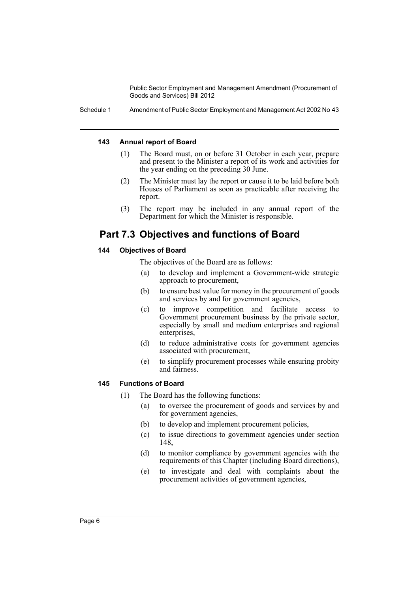Schedule 1 Amendment of Public Sector Employment and Management Act 2002 No 43

#### **143 Annual report of Board**

- (1) The Board must, on or before 31 October in each year, prepare and present to the Minister a report of its work and activities for the year ending on the preceding 30 June.
- (2) The Minister must lay the report or cause it to be laid before both Houses of Parliament as soon as practicable after receiving the report.
- (3) The report may be included in any annual report of the Department for which the Minister is responsible.

# **Part 7.3 Objectives and functions of Board**

## **144 Objectives of Board**

The objectives of the Board are as follows:

- (a) to develop and implement a Government-wide strategic approach to procurement,
- (b) to ensure best value for money in the procurement of goods and services by and for government agencies,
- (c) to improve competition and facilitate access to Government procurement business by the private sector, especially by small and medium enterprises and regional enterprises,
- (d) to reduce administrative costs for government agencies associated with procurement,
- (e) to simplify procurement processes while ensuring probity and fairness.

### **145 Functions of Board**

- (1) The Board has the following functions:
	- (a) to oversee the procurement of goods and services by and for government agencies,
	- (b) to develop and implement procurement policies,
	- (c) to issue directions to government agencies under section 148,
	- (d) to monitor compliance by government agencies with the requirements of this Chapter (including Board directions),
	- (e) to investigate and deal with complaints about the procurement activities of government agencies,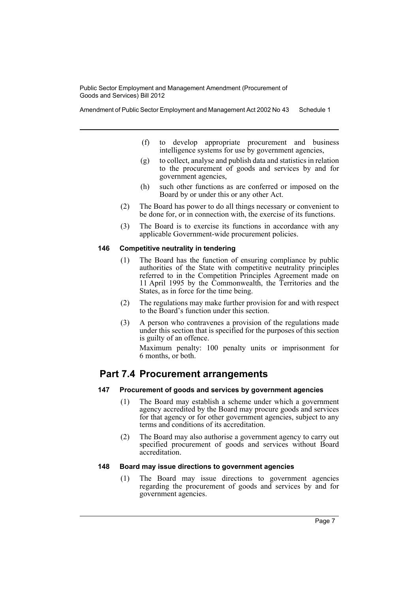Amendment of Public Sector Employment and Management Act 2002 No 43 Schedule 1

- (f) to develop appropriate procurement and business intelligence systems for use by government agencies,
- (g) to collect, analyse and publish data and statistics in relation to the procurement of goods and services by and for government agencies,
- (h) such other functions as are conferred or imposed on the Board by or under this or any other Act.
- (2) The Board has power to do all things necessary or convenient to be done for, or in connection with, the exercise of its functions.
- (3) The Board is to exercise its functions in accordance with any applicable Government-wide procurement policies.

#### **146 Competitive neutrality in tendering**

- (1) The Board has the function of ensuring compliance by public authorities of the State with competitive neutrality principles referred to in the Competition Principles Agreement made on 11 April 1995 by the Commonwealth, the Territories and the States, as in force for the time being.
- (2) The regulations may make further provision for and with respect to the Board's function under this section.
- (3) A person who contravenes a provision of the regulations made under this section that is specified for the purposes of this section is guilty of an offence.

Maximum penalty: 100 penalty units or imprisonment for 6 months, or both.

# **Part 7.4 Procurement arrangements**

# **147 Procurement of goods and services by government agencies**

- (1) The Board may establish a scheme under which a government agency accredited by the Board may procure goods and services for that agency or for other government agencies, subject to any terms and conditions of its accreditation.
- (2) The Board may also authorise a government agency to carry out specified procurement of goods and services without Board accreditation.

#### **148 Board may issue directions to government agencies**

(1) The Board may issue directions to government agencies regarding the procurement of goods and services by and for government agencies.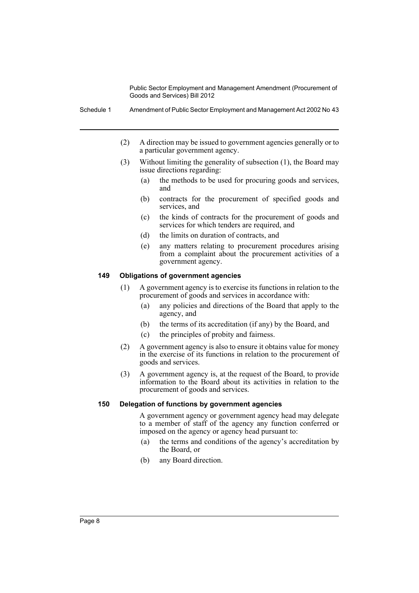- (2) A direction may be issued to government agencies generally or to a particular government agency.
- (3) Without limiting the generality of subsection (1), the Board may issue directions regarding:
	- (a) the methods to be used for procuring goods and services, and
	- (b) contracts for the procurement of specified goods and services, and
	- (c) the kinds of contracts for the procurement of goods and services for which tenders are required, and
	- (d) the limits on duration of contracts, and
	- (e) any matters relating to procurement procedures arising from a complaint about the procurement activities of a government agency.

#### **149 Obligations of government agencies**

- (1) A government agency is to exercise its functions in relation to the procurement of goods and services in accordance with:
	- (a) any policies and directions of the Board that apply to the agency, and
	- (b) the terms of its accreditation (if any) by the Board, and
	- (c) the principles of probity and fairness.
- (2) A government agency is also to ensure it obtains value for money in the exercise of its functions in relation to the procurement of goods and services.
- (3) A government agency is, at the request of the Board, to provide information to the Board about its activities in relation to the procurement of goods and services.

#### **150 Delegation of functions by government agencies**

A government agency or government agency head may delegate to a member of staff of the agency any function conferred or imposed on the agency or agency head pursuant to:

- (a) the terms and conditions of the agency's accreditation by the Board, or
- (b) any Board direction.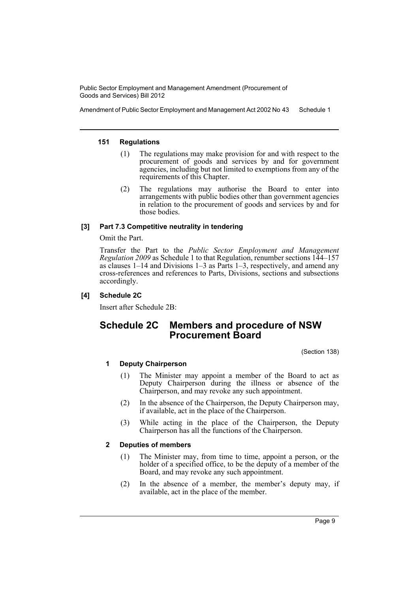Amendment of Public Sector Employment and Management Act 2002 No 43 Schedule 1

#### **151 Regulations**

- (1) The regulations may make provision for and with respect to the procurement of goods and services by and for government agencies, including but not limited to exemptions from any of the requirements of this Chapter.
- (2) The regulations may authorise the Board to enter into arrangements with public bodies other than government agencies in relation to the procurement of goods and services by and for those bodies.

### **[3] Part 7.3 Competitive neutrality in tendering**

#### Omit the Part.

Transfer the Part to the *Public Sector Employment and Management Regulation 2009* as Schedule 1 to that Regulation, renumber sections 144–157 as clauses 1–14 and Divisions 1–3 as Parts 1–3, respectively, and amend any cross-references and references to Parts, Divisions, sections and subsections accordingly.

### **[4] Schedule 2C**

Insert after Schedule 2B:

# **Schedule 2C Members and procedure of NSW Procurement Board**

(Section 138)

### **1 Deputy Chairperson**

- (1) The Minister may appoint a member of the Board to act as Deputy Chairperson during the illness or absence of the Chairperson, and may revoke any such appointment.
- (2) In the absence of the Chairperson, the Deputy Chairperson may, if available, act in the place of the Chairperson.
- (3) While acting in the place of the Chairperson, the Deputy Chairperson has all the functions of the Chairperson.

#### **2 Deputies of members**

- (1) The Minister may, from time to time, appoint a person, or the holder of a specified office, to be the deputy of a member of the Board, and may revoke any such appointment.
- (2) In the absence of a member, the member's deputy may, if available, act in the place of the member.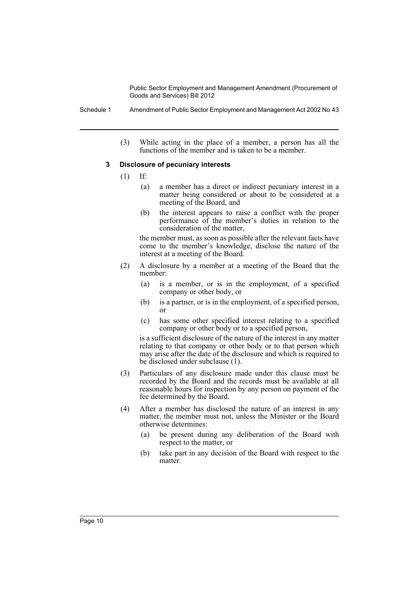(3) While acting in the place of a member, a person has all the functions of the member and is taken to be a member.

#### **3 Disclosure of pecuniary interests**

- (1) If:
	- (a) a member has a direct or indirect pecuniary interest in a matter being considered or about to be considered at a meeting of the Board, and
	- (b) the interest appears to raise a conflict with the proper performance of the member's duties in relation to the consideration of the matter,

the member must, as soon as possible after the relevant facts have come to the member's knowledge, disclose the nature of the interest at a meeting of the Board.

- (2) A disclosure by a member at a meeting of the Board that the member:
	- (a) is a member, or is in the employment, of a specified company or other body, or
	- (b) is a partner, or is in the employment, of a specified person, or
	- (c) has some other specified interest relating to a specified company or other body or to a specified person,

is a sufficient disclosure of the nature of the interest in any matter relating to that company or other body or to that person which may arise after the date of the disclosure and which is required to be disclosed under subclause (1).

- (3) Particulars of any disclosure made under this clause must be recorded by the Board and the records must be available at all reasonable hours for inspection by any person on payment of the fee determined by the Board.
- (4) After a member has disclosed the nature of an interest in any matter, the member must not, unless the Minister or the Board otherwise determines:
	- (a) be present during any deliberation of the Board with respect to the matter, or
	- (b) take part in any decision of the Board with respect to the matter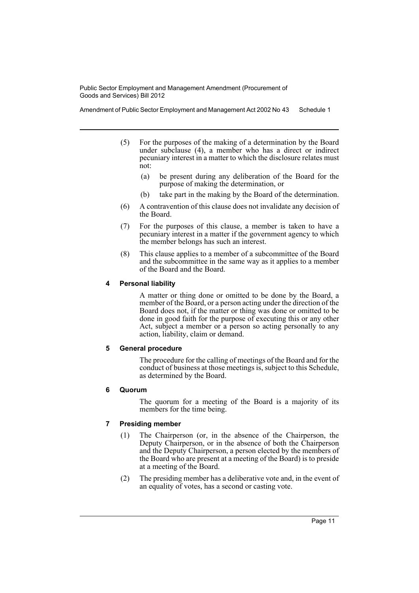Amendment of Public Sector Employment and Management Act 2002 No 43 Schedule 1

- (5) For the purposes of the making of a determination by the Board under subclause (4), a member who has a direct or indirect pecuniary interest in a matter to which the disclosure relates must not:
	- (a) be present during any deliberation of the Board for the purpose of making the determination, or
	- (b) take part in the making by the Board of the determination.
- (6) A contravention of this clause does not invalidate any decision of the Board.
- (7) For the purposes of this clause, a member is taken to have a pecuniary interest in a matter if the government agency to which the member belongs has such an interest.
- (8) This clause applies to a member of a subcommittee of the Board and the subcommittee in the same way as it applies to a member of the Board and the Board.

#### **4 Personal liability**

A matter or thing done or omitted to be done by the Board, a member of the Board, or a person acting under the direction of the Board does not, if the matter or thing was done or omitted to be done in good faith for the purpose of executing this or any other Act, subject a member or a person so acting personally to any action, liability, claim or demand.

### **5 General procedure**

The procedure for the calling of meetings of the Board and for the conduct of business at those meetings is, subject to this Schedule, as determined by the Board.

### **6 Quorum**

The quorum for a meeting of the Board is a majority of its members for the time being.

### **7 Presiding member**

- (1) The Chairperson (or, in the absence of the Chairperson, the Deputy Chairperson, or in the absence of both the Chairperson and the Deputy Chairperson, a person elected by the members of the Board who are present at a meeting of the Board) is to preside at a meeting of the Board.
- (2) The presiding member has a deliberative vote and, in the event of an equality of votes, has a second or casting vote.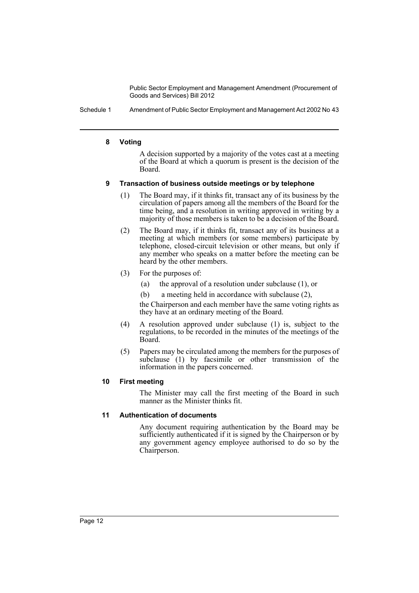Schedule 1 Amendment of Public Sector Employment and Management Act 2002 No 43

#### **8 Voting**

A decision supported by a majority of the votes cast at a meeting of the Board at which a quorum is present is the decision of the Board.

#### **9 Transaction of business outside meetings or by telephone**

- (1) The Board may, if it thinks fit, transact any of its business by the circulation of papers among all the members of the Board for the time being, and a resolution in writing approved in writing by a majority of those members is taken to be a decision of the Board.
- (2) The Board may, if it thinks fit, transact any of its business at a meeting at which members (or some members) participate by telephone, closed-circuit television or other means, but only if any member who speaks on a matter before the meeting can be heard by the other members.
- (3) For the purposes of:
	- (a) the approval of a resolution under subclause (1), or
	- (b) a meeting held in accordance with subclause (2),

the Chairperson and each member have the same voting rights as they have at an ordinary meeting of the Board.

- (4) A resolution approved under subclause (1) is, subject to the regulations, to be recorded in the minutes of the meetings of the Board.
- (5) Papers may be circulated among the members for the purposes of subclause (1) by facsimile or other transmission of the information in the papers concerned.

#### **10 First meeting**

The Minister may call the first meeting of the Board in such manner as the Minister thinks fit.

### **11 Authentication of documents**

Any document requiring authentication by the Board may be sufficiently authenticated if it is signed by the Chairperson or by any government agency employee authorised to do so by the Chairperson.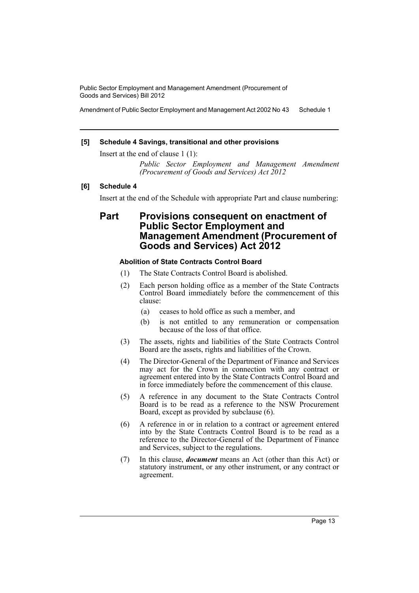Amendment of Public Sector Employment and Management Act 2002 No 43 Schedule 1

### **[5] Schedule 4 Savings, transitional and other provisions**

Insert at the end of clause 1 (1):

*Public Sector Employment and Management Amendment (Procurement of Goods and Services) Act 2012*

### **[6] Schedule 4**

Insert at the end of the Schedule with appropriate Part and clause numbering:

# **Part Provisions consequent on enactment of Public Sector Employment and Management Amendment (Procurement of Goods and Services) Act 2012**

#### **Abolition of State Contracts Control Board**

- (1) The State Contracts Control Board is abolished.
- (2) Each person holding office as a member of the State Contracts Control Board immediately before the commencement of this clause:
	- (a) ceases to hold office as such a member, and
	- (b) is not entitled to any remuneration or compensation because of the loss of that office.
- (3) The assets, rights and liabilities of the State Contracts Control Board are the assets, rights and liabilities of the Crown.
- (4) The Director-General of the Department of Finance and Services may act for the Crown in connection with any contract or agreement entered into by the State Contracts Control Board and in force immediately before the commencement of this clause.
- (5) A reference in any document to the State Contracts Control Board is to be read as a reference to the NSW Procurement Board, except as provided by subclause (6).
- (6) A reference in or in relation to a contract or agreement entered into by the State Contracts Control Board is to be read as a reference to the Director-General of the Department of Finance and Services, subject to the regulations.
- (7) In this clause, *document* means an Act (other than this Act) or statutory instrument, or any other instrument, or any contract or agreement.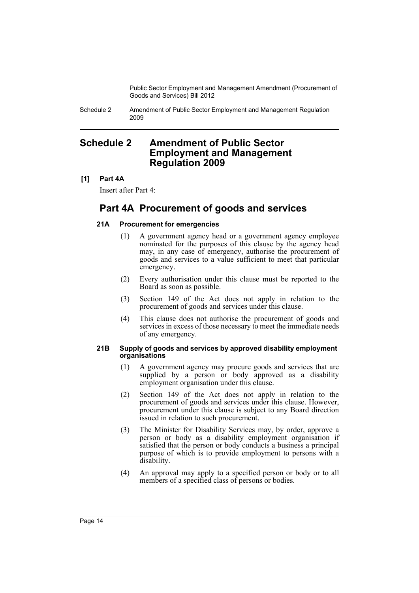Schedule 2 Amendment of Public Sector Employment and Management Regulation 2009

# <span id="page-15-0"></span>**Schedule 2 Amendment of Public Sector Employment and Management Regulation 2009**

# **[1] Part 4A**

Insert after Part 4:

# **Part 4A Procurement of goods and services**

# **21A Procurement for emergencies**

- (1) A government agency head or a government agency employee nominated for the purposes of this clause by the agency head may, in any case of emergency, authorise the procurement of goods and services to a value sufficient to meet that particular emergency.
- (2) Every authorisation under this clause must be reported to the Board as soon as possible.
- (3) Section 149 of the Act does not apply in relation to the procurement of goods and services under this clause.
- (4) This clause does not authorise the procurement of goods and services in excess of those necessary to meet the immediate needs of any emergency.

#### **21B Supply of goods and services by approved disability employment organisations**

- (1) A government agency may procure goods and services that are supplied by a person or body approved as a disability employment organisation under this clause.
- (2) Section 149 of the Act does not apply in relation to the procurement of goods and services under this clause. However, procurement under this clause is subject to any Board direction issued in relation to such procurement.
- (3) The Minister for Disability Services may, by order, approve a person or body as a disability employment organisation if satisfied that the person or body conducts a business a principal purpose of which is to provide employment to persons with a disability.
- (4) An approval may apply to a specified person or body or to all members of a specified class of persons or bodies.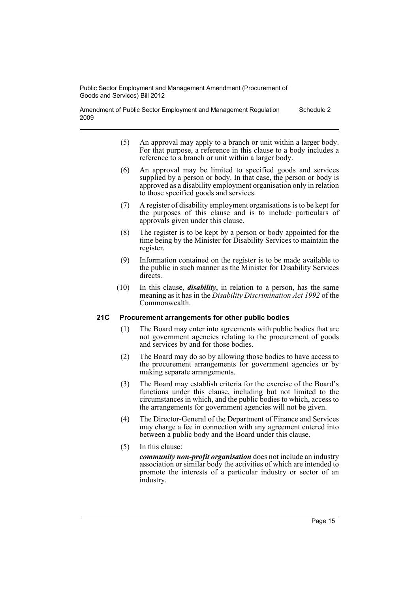Amendment of Public Sector Employment and Management Regulation 2009 Schedule 2

- (5) An approval may apply to a branch or unit within a larger body. For that purpose, a reference in this clause to a body includes a reference to a branch or unit within a larger body.
- (6) An approval may be limited to specified goods and services supplied by a person or body. In that case, the person or body is approved as a disability employment organisation only in relation to those specified goods and services.
- (7) A register of disability employment organisations is to be kept for the purposes of this clause and is to include particulars of approvals given under this clause.
- (8) The register is to be kept by a person or body appointed for the time being by the Minister for Disability Services to maintain the register.
- (9) Information contained on the register is to be made available to the public in such manner as the Minister for Disability Services directs.
- (10) In this clause, *disability*, in relation to a person, has the same meaning as it has in the *Disability Discrimination Act 1992* of the Commonwealth.

### **21C Procurement arrangements for other public bodies**

- (1) The Board may enter into agreements with public bodies that are not government agencies relating to the procurement of goods and services by and for those bodies.
- (2) The Board may do so by allowing those bodies to have access to the procurement arrangements for government agencies or by making separate arrangements.
- (3) The Board may establish criteria for the exercise of the Board's functions under this clause, including but not limited to the circumstances in which, and the public bodies to which, access to the arrangements for government agencies will not be given.
- (4) The Director-General of the Department of Finance and Services may charge a fee in connection with any agreement entered into between a public body and the Board under this clause.
- (5) In this clause:

*community non-profit organisation* does not include an industry association or similar body the activities of which are intended to promote the interests of a particular industry or sector of an industry.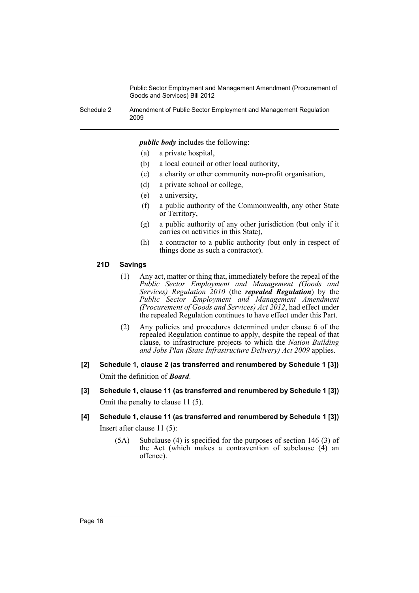Schedule 2 Amendment of Public Sector Employment and Management Regulation 2009

*public body* includes the following:

- (a) a private hospital,
- (b) a local council or other local authority,
- (c) a charity or other community non-profit organisation,
- (d) a private school or college,
- (e) a university,
- (f) a public authority of the Commonwealth, any other State or Territory,
- (g) a public authority of any other jurisdiction (but only if it carries on activities in this State),
- (h) a contractor to a public authority (but only in respect of things done as such a contractor).

#### **21D Savings**

- (1) Any act, matter or thing that, immediately before the repeal of the *Public Sector Employment and Management (Goods and Services) Regulation 2010* (the *repealed Regulation*) by the *Public Sector Employment and Management Amendment (Procurement of Goods and Services) Act 2012*, had effect under the repealed Regulation continues to have effect under this Part.
- (2) Any policies and procedures determined under clause 6 of the repealed Regulation continue to apply, despite the repeal of that clause, to infrastructure projects to which the *Nation Building and Jobs Plan (State Infrastructure Delivery) Act 2009* applies.
- **[2] Schedule 1, clause 2 (as transferred and renumbered by Schedule 1 [3])** Omit the definition of *Board*.
- **[3] Schedule 1, clause 11 (as transferred and renumbered by Schedule 1 [3])** Omit the penalty to clause 11 (5).

# **[4] Schedule 1, clause 11 (as transferred and renumbered by Schedule 1 [3])** Insert after clause 11 (5):

(5A) Subclause (4) is specified for the purposes of section 146 (3) of the Act (which makes a contravention of subclause (4) an offence).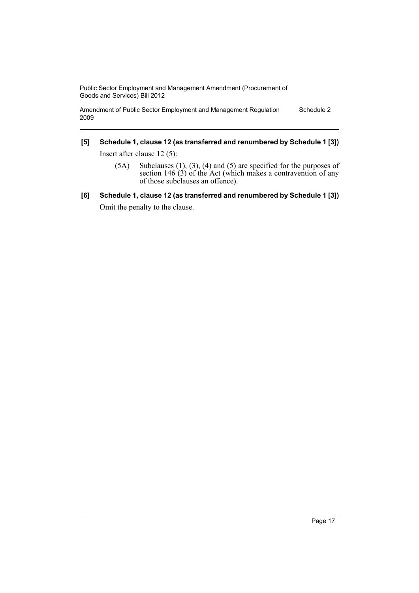Amendment of Public Sector Employment and Management Regulation 2009 Schedule 2

# **[5] Schedule 1, clause 12 (as transferred and renumbered by Schedule 1 [3])**

Insert after clause 12 (5):

- (5A) Subclauses (1), (3), (4) and (5) are specified for the purposes of section  $146(3)$  of the Act (which makes a contravention of any of those subclauses an offence).
- **[6] Schedule 1, clause 12 (as transferred and renumbered by Schedule 1 [3])** Omit the penalty to the clause.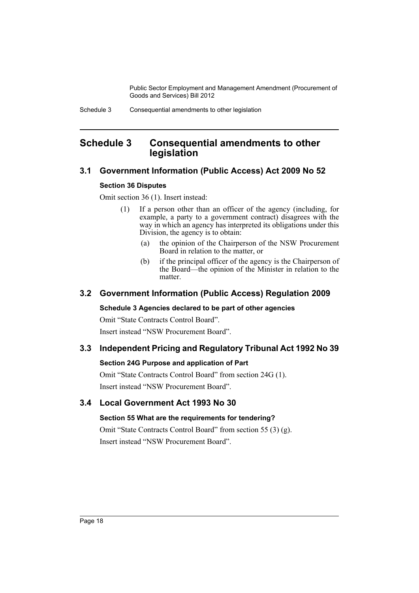# <span id="page-19-0"></span>**Schedule 3 Consequential amendments to other legislation**

# **3.1 Government Information (Public Access) Act 2009 No 52**

# **Section 36 Disputes**

Omit section 36 (1). Insert instead:

- (1) If a person other than an officer of the agency (including, for example, a party to a government contract) disagrees with the way in which an agency has interpreted its obligations under this Division, the agency is to obtain:
	- (a) the opinion of the Chairperson of the NSW Procurement Board in relation to the matter, or
	- (b) if the principal officer of the agency is the Chairperson of the Board—the opinion of the Minister in relation to the matter.

# **3.2 Government Information (Public Access) Regulation 2009**

### **Schedule 3 Agencies declared to be part of other agencies**

Omit "State Contracts Control Board". Insert instead "NSW Procurement Board".

# **3.3 Independent Pricing and Regulatory Tribunal Act 1992 No 39**

# **Section 24G Purpose and application of Part**

Omit "State Contracts Control Board" from section 24G (1). Insert instead "NSW Procurement Board".

# **3.4 Local Government Act 1993 No 30**

# **Section 55 What are the requirements for tendering?**

Omit "State Contracts Control Board" from section 55 (3) (g). Insert instead "NSW Procurement Board".